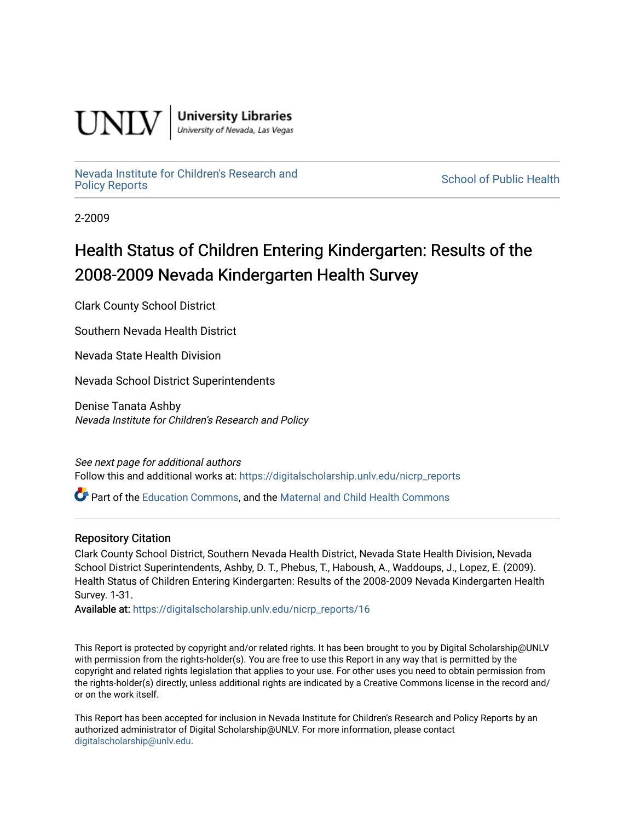

**University Libraries**<br>University of Nevada, Las Vegas

# [Nevada Institute for Children's Research and](https://digitalscholarship.unlv.edu/nicrp_reports)

**School of Public Health** 

2-2009

# Health Status of Children Entering Kindergarten: Results of the 2008-2009 Nevada Kindergarten Health Survey

Clark County School District

Southern Nevada Health District

Nevada State Health Division

Nevada School District Superintendents

Denise Tanata Ashby Nevada Institute for Children's Research and Policy

See next page for additional authors Follow this and additional works at: [https://digitalscholarship.unlv.edu/nicrp\\_reports](https://digitalscholarship.unlv.edu/nicrp_reports?utm_source=digitalscholarship.unlv.edu%2Fnicrp_reports%2F16&utm_medium=PDF&utm_campaign=PDFCoverPages)

Part of the [Education Commons](http://network.bepress.com/hgg/discipline/784?utm_source=digitalscholarship.unlv.edu%2Fnicrp_reports%2F16&utm_medium=PDF&utm_campaign=PDFCoverPages), and the [Maternal and Child Health Commons](http://network.bepress.com/hgg/discipline/745?utm_source=digitalscholarship.unlv.edu%2Fnicrp_reports%2F16&utm_medium=PDF&utm_campaign=PDFCoverPages) 

#### Repository Citation

Clark County School District, Southern Nevada Health District, Nevada State Health Division, Nevada School District Superintendents, Ashby, D. T., Phebus, T., Haboush, A., Waddoups, J., Lopez, E. (2009). Health Status of Children Entering Kindergarten: Results of the 2008-2009 Nevada Kindergarten Health Survey. 1-31.

Available at: [https://digitalscholarship.unlv.edu/nicrp\\_reports/16](https://digitalscholarship.unlv.edu/nicrp_reports/16) 

This Report is protected by copyright and/or related rights. It has been brought to you by Digital Scholarship@UNLV with permission from the rights-holder(s). You are free to use this Report in any way that is permitted by the copyright and related rights legislation that applies to your use. For other uses you need to obtain permission from the rights-holder(s) directly, unless additional rights are indicated by a Creative Commons license in the record and/ or on the work itself.

This Report has been accepted for inclusion in Nevada Institute for Children's Research and Policy Reports by an authorized administrator of Digital Scholarship@UNLV. For more information, please contact [digitalscholarship@unlv.edu](mailto:digitalscholarship@unlv.edu).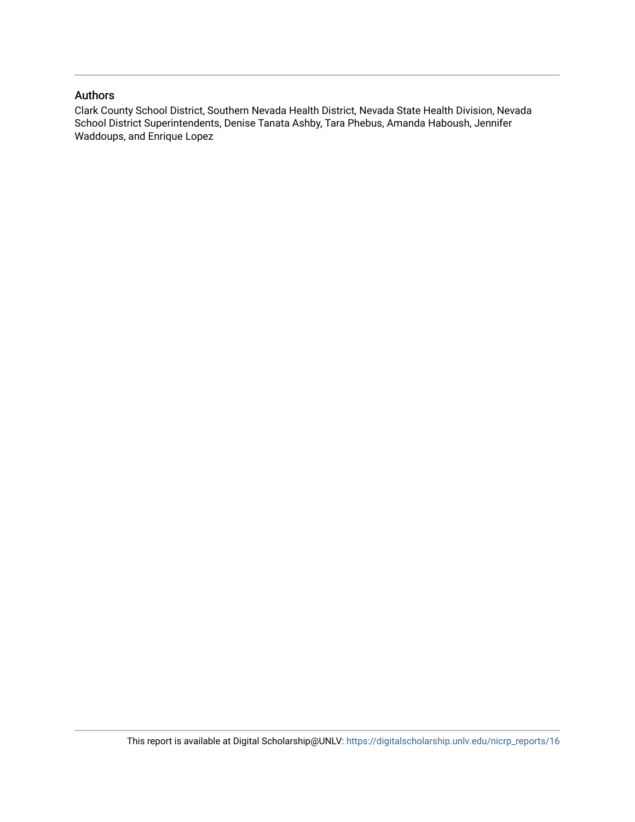#### Authors

Clark County School District, Southern Nevada Health District, Nevada State Health Division, Nevada School District Superintendents, Denise Tanata Ashby, Tara Phebus, Amanda Haboush, Jennifer Waddoups, and Enrique Lopez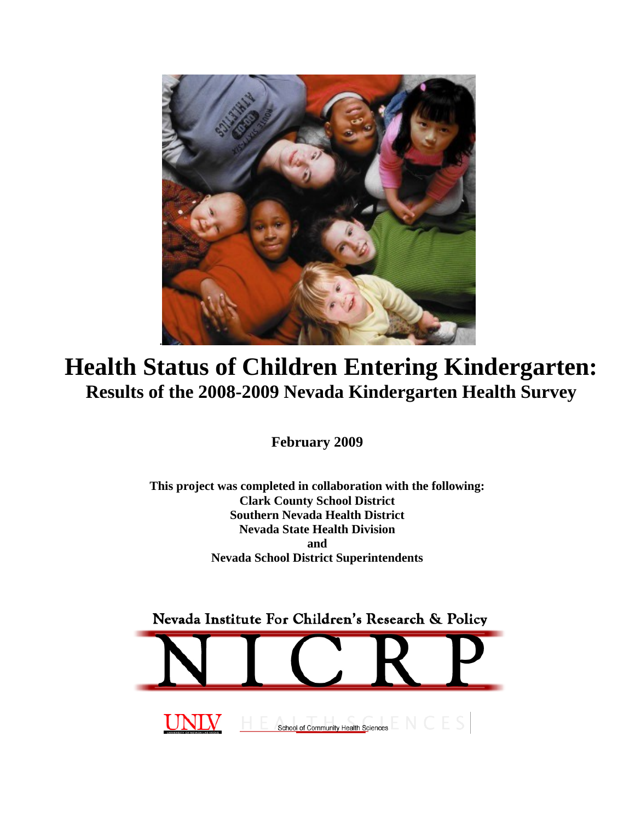

# **Health Status of Children Entering Kindergarten: Results of the 2008-2009 Nevada Kindergarten Health Survey**

**February 2009** 

**This project was completed in collaboration with the following: Clark County School District Southern Nevada Health District Nevada State Health Division and Nevada School District Superintendents** 

Nevada Institute For Children's Research & Policy

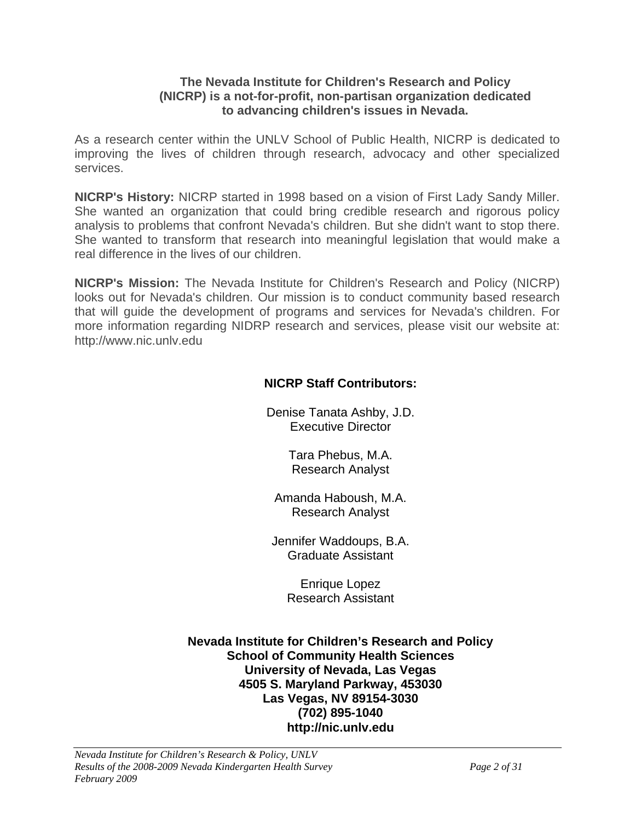### **The Nevada Institute for Children's Research and Policy (NICRP) is a not-for-profit, non-partisan organization dedicated to advancing children's issues in Nevada.**

As a research center within the UNLV School of Public Health, NICRP is dedicated to improving the lives of children through research, advocacy and other specialized services.

**NICRP's History:** NICRP started in 1998 based on a vision of First Lady Sandy Miller. She wanted an organization that could bring credible research and rigorous policy analysis to problems that confront Nevada's children. But she didn't want to stop there. She wanted to transform that research into meaningful legislation that would make a real difference in the lives of our children.

**NICRP's Mission:** The Nevada Institute for Children's Research and Policy (NICRP) looks out for Nevada's children. Our mission is to conduct community based research that will guide the development of programs and services for Nevada's children. For more information regarding NIDRP research and services, please visit our website at: http://www.nic.unlv.edu

## **NICRP Staff Contributors:**

Denise Tanata Ashby, J.D. Executive Director

> Tara Phebus, M.A. Research Analyst

Amanda Haboush, M.A. Research Analyst

Jennifer Waddoups, B.A. Graduate Assistant

> Enrique Lopez Research Assistant

**Nevada Institute for Children's Research and Policy School of Community Health Sciences University of Nevada, Las Vegas 4505 S. Maryland Parkway, 453030 Las Vegas, NV 89154-3030 (702) 895-1040 http://nic.unlv.edu**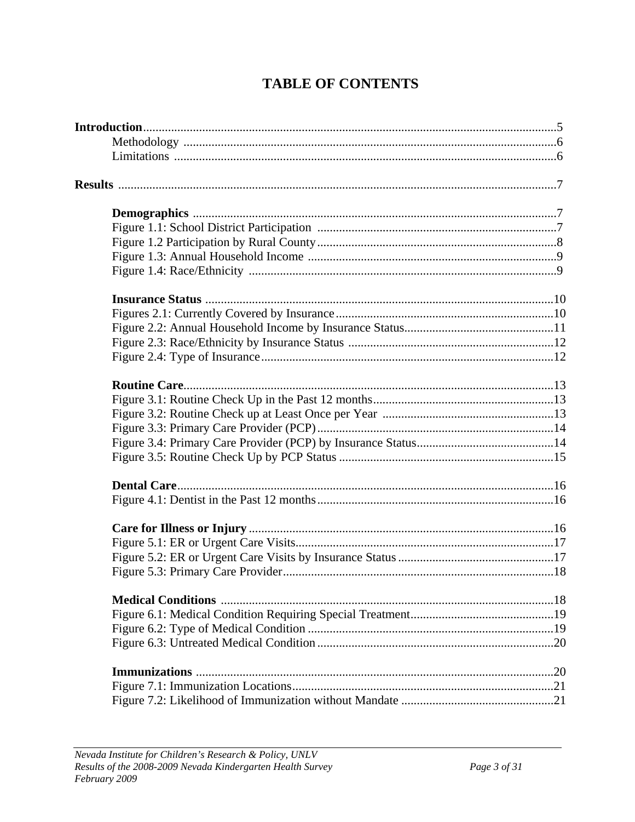## **TABLE OF CONTENTS**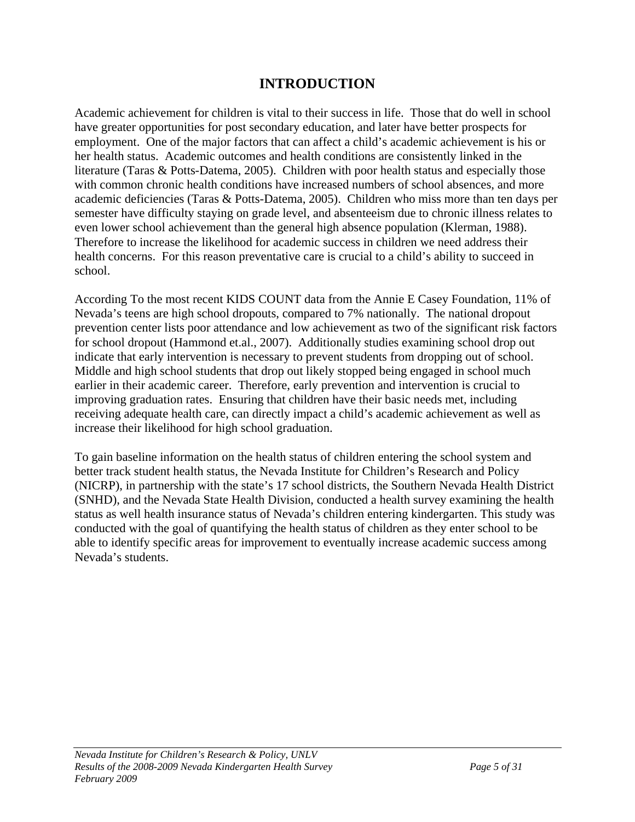## **INTRODUCTION**

Academic achievement for children is vital to their success in life. Those that do well in school have greater opportunities for post secondary education, and later have better prospects for employment. One of the major factors that can affect a child's academic achievement is his or her health status. Academic outcomes and health conditions are consistently linked in the literature (Taras & Potts-Datema, 2005). Children with poor health status and especially those with common chronic health conditions have increased numbers of school absences, and more academic deficiencies (Taras & Potts-Datema, 2005). Children who miss more than ten days per semester have difficulty staying on grade level, and absenteeism due to chronic illness relates to even lower school achievement than the general high absence population (Klerman, 1988). Therefore to increase the likelihood for academic success in children we need address their health concerns. For this reason preventative care is crucial to a child's ability to succeed in school.

According To the most recent KIDS COUNT data from the Annie E Casey Foundation, 11% of Nevada's teens are high school dropouts, compared to 7% nationally. The national dropout prevention center lists poor attendance and low achievement as two of the significant risk factors for school dropout (Hammond et.al., 2007). Additionally studies examining school drop out indicate that early intervention is necessary to prevent students from dropping out of school. Middle and high school students that drop out likely stopped being engaged in school much earlier in their academic career. Therefore, early prevention and intervention is crucial to improving graduation rates. Ensuring that children have their basic needs met, including receiving adequate health care, can directly impact a child's academic achievement as well as increase their likelihood for high school graduation.

To gain baseline information on the health status of children entering the school system and better track student health status, the Nevada Institute for Children's Research and Policy (NICRP), in partnership with the state's 17 school districts, the Southern Nevada Health District (SNHD), and the Nevada State Health Division, conducted a health survey examining the health status as well health insurance status of Nevada's children entering kindergarten. This study was conducted with the goal of quantifying the health status of children as they enter school to be able to identify specific areas for improvement to eventually increase academic success among Nevada's students.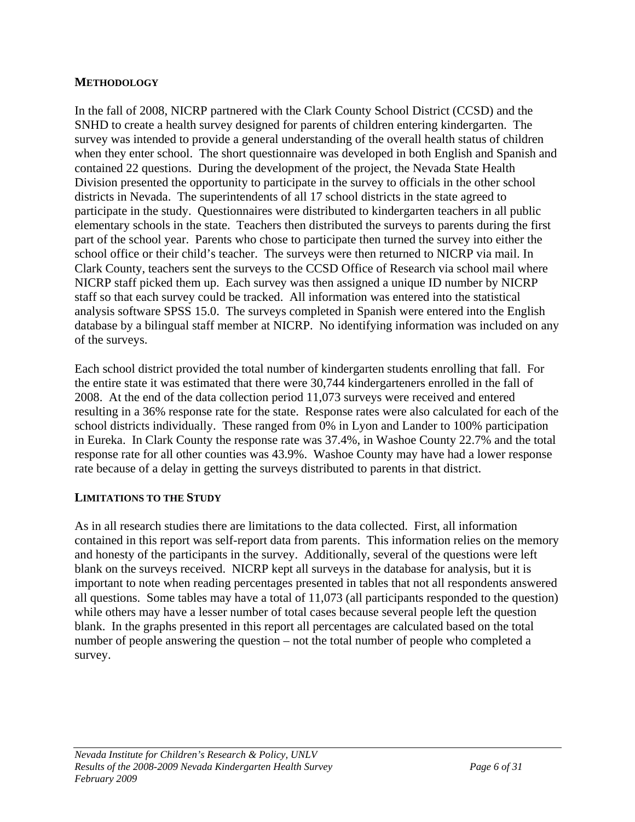## **METHODOLOGY**

In the fall of 2008, NICRP partnered with the Clark County School District (CCSD) and the SNHD to create a health survey designed for parents of children entering kindergarten. The survey was intended to provide a general understanding of the overall health status of children when they enter school. The short questionnaire was developed in both English and Spanish and contained 22 questions. During the development of the project, the Nevada State Health Division presented the opportunity to participate in the survey to officials in the other school districts in Nevada. The superintendents of all 17 school districts in the state agreed to participate in the study. Questionnaires were distributed to kindergarten teachers in all public elementary schools in the state. Teachers then distributed the surveys to parents during the first part of the school year. Parents who chose to participate then turned the survey into either the school office or their child's teacher. The surveys were then returned to NICRP via mail. In Clark County, teachers sent the surveys to the CCSD Office of Research via school mail where NICRP staff picked them up. Each survey was then assigned a unique ID number by NICRP staff so that each survey could be tracked. All information was entered into the statistical analysis software SPSS 15.0. The surveys completed in Spanish were entered into the English database by a bilingual staff member at NICRP. No identifying information was included on any of the surveys.

Each school district provided the total number of kindergarten students enrolling that fall. For the entire state it was estimated that there were 30,744 kindergarteners enrolled in the fall of 2008. At the end of the data collection period 11,073 surveys were received and entered resulting in a 36% response rate for the state. Response rates were also calculated for each of the school districts individually. These ranged from 0% in Lyon and Lander to 100% participation in Eureka. In Clark County the response rate was 37.4%, in Washoe County 22.7% and the total response rate for all other counties was 43.9%. Washoe County may have had a lower response rate because of a delay in getting the surveys distributed to parents in that district.

### **LIMITATIONS TO THE STUDY**

As in all research studies there are limitations to the data collected. First, all information contained in this report was self-report data from parents. This information relies on the memory and honesty of the participants in the survey. Additionally, several of the questions were left blank on the surveys received. NICRP kept all surveys in the database for analysis, but it is important to note when reading percentages presented in tables that not all respondents answered all questions. Some tables may have a total of 11,073 (all participants responded to the question) while others may have a lesser number of total cases because several people left the question blank. In the graphs presented in this report all percentages are calculated based on the total number of people answering the question – not the total number of people who completed a survey.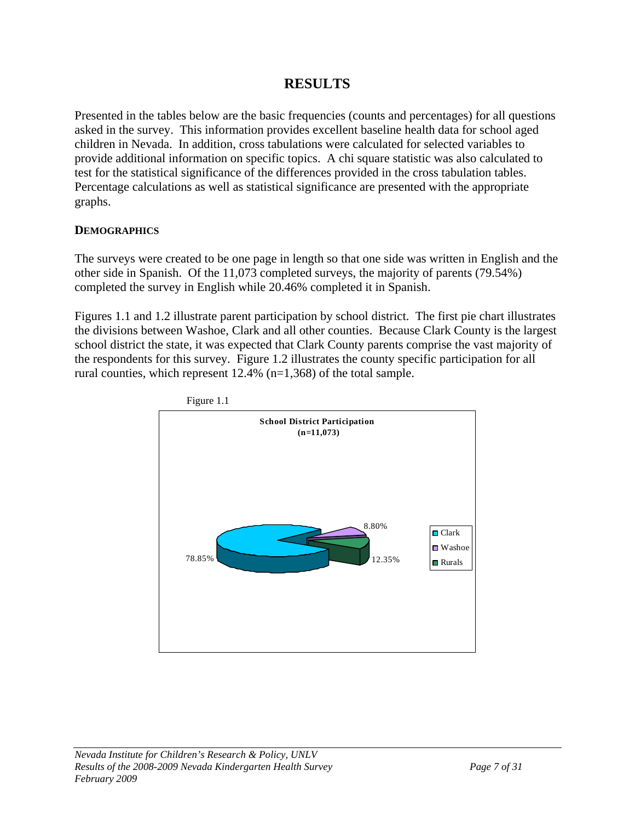## **RESULTS**

Presented in the tables below are the basic frequencies (counts and percentages) for all questions asked in the survey. This information provides excellent baseline health data for school aged children in Nevada. In addition, cross tabulations were calculated for selected variables to provide additional information on specific topics. A chi square statistic was also calculated to test for the statistical significance of the differences provided in the cross tabulation tables. Percentage calculations as well as statistical significance are presented with the appropriate graphs.

## **DEMOGRAPHICS**

The surveys were created to be one page in length so that one side was written in English and the other side in Spanish. Of the 11,073 completed surveys, the majority of parents (79.54%) completed the survey in English while 20.46% completed it in Spanish.

Figures 1.1 and 1.2 illustrate parent participation by school district. The first pie chart illustrates the divisions between Washoe, Clark and all other counties. Because Clark County is the largest school district the state, it was expected that Clark County parents comprise the vast majority of the respondents for this survey. Figure 1.2 illustrates the county specific participation for all rural counties, which represent 12.4% (n=1,368) of the total sample.



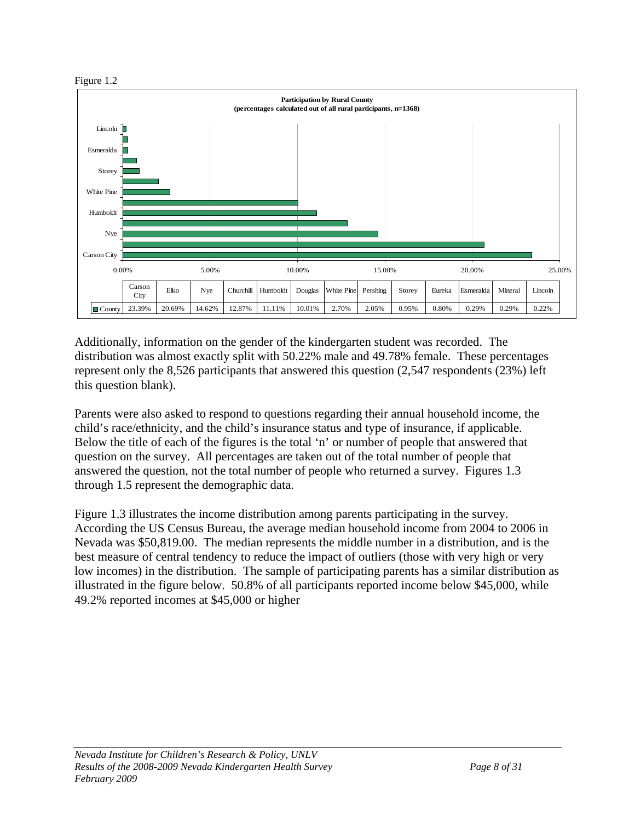

Additionally, information on the gender of the kindergarten student was recorded. The distribution was almost exactly split with 50.22% male and 49.78% female. These percentages represent only the 8,526 participants that answered this question (2,547 respondents (23%) left this question blank).

Parents were also asked to respond to questions regarding their annual household income, the child's race/ethnicity, and the child's insurance status and type of insurance, if applicable. Below the title of each of the figures is the total 'n' or number of people that answered that question on the survey. All percentages are taken out of the total number of people that answered the question, not the total number of people who returned a survey. Figures 1.3 through 1.5 represent the demographic data.

Figure 1.3 illustrates the income distribution among parents participating in the survey. According the US Census Bureau, the average median household income from 2004 to 2006 in Nevada was \$50,819.00. The median represents the middle number in a distribution, and is the best measure of central tendency to reduce the impact of outliers (those with very high or very low incomes) in the distribution. The sample of participating parents has a similar distribution as illustrated in the figure below. 50.8% of all participants reported income below \$45,000, while 49.2% reported incomes at \$45,000 or higher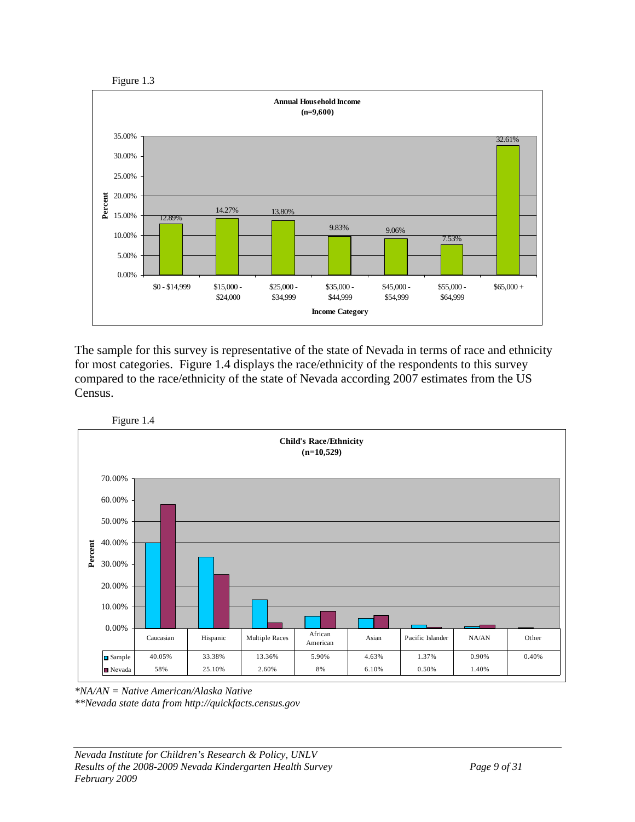



The sample for this survey is representative of the state of Nevada in terms of race and ethnicity for most categories. Figure 1.4 displays the race/ethnicity of the respondents to this survey compared to the race/ethnicity of the state of Nevada according 2007 estimates from the US Census.



Figure 1.4

*\*NA/AN = Native American/Alaska Native* 

*\*\*Nevada state data from http://quickfacts.census.gov*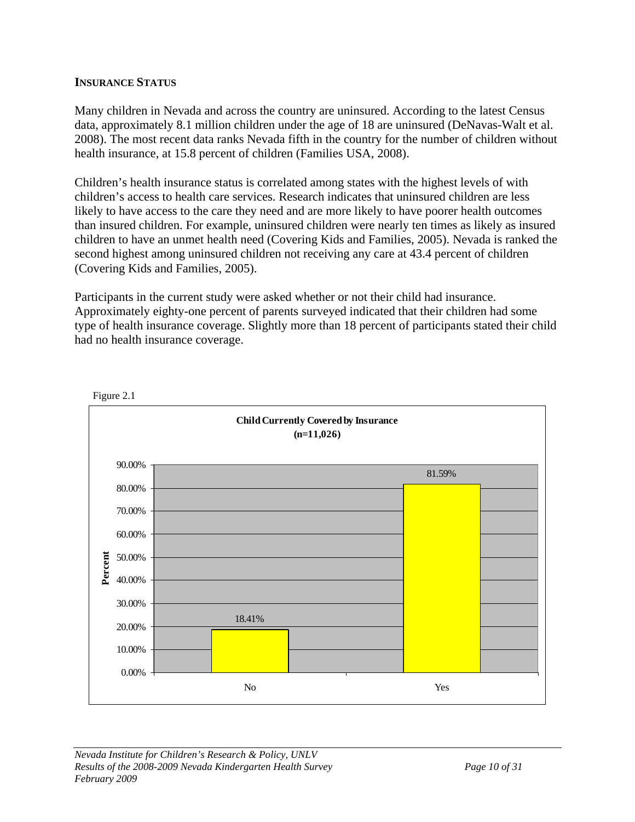### **INSURANCE STATUS**

Many children in Nevada and across the country are uninsured. According to the latest Census data, approximately 8.1 million children under the age of 18 are uninsured (DeNavas-Walt et al. 2008). The most recent data ranks Nevada fifth in the country for the number of children without health insurance, at 15.8 percent of children (Families USA, 2008).

Children's health insurance status is correlated among states with the highest levels of with children's access to health care services. Research indicates that uninsured children are less likely to have access to the care they need and are more likely to have poorer health outcomes than insured children. For example, uninsured children were nearly ten times as likely as insured children to have an unmet health need (Covering Kids and Families, 2005). Nevada is ranked the second highest among uninsured children not receiving any care at 43.4 percent of children (Covering Kids and Families, 2005).

Participants in the current study were asked whether or not their child had insurance. Approximately eighty-one percent of parents surveyed indicated that their children had some type of health insurance coverage. Slightly more than 18 percent of participants stated their child had no health insurance coverage.



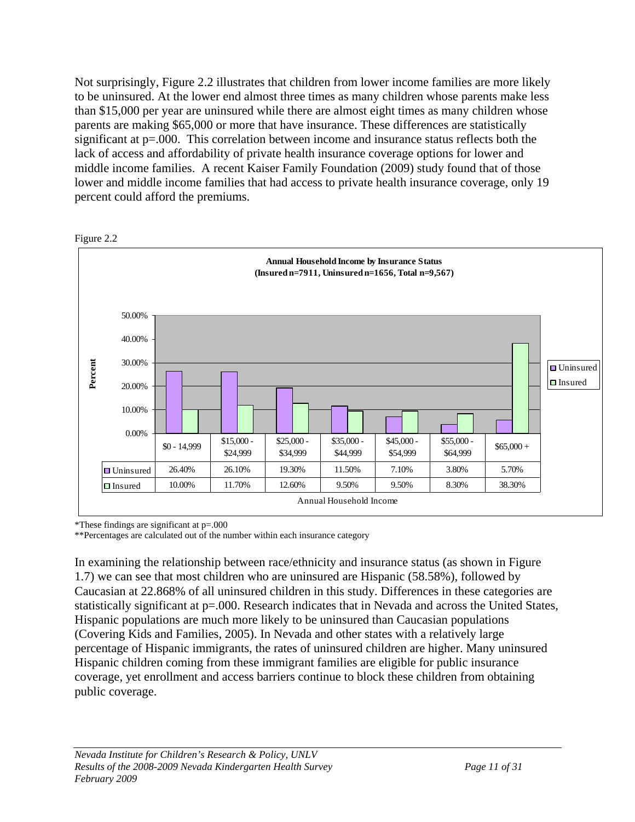Not surprisingly, Figure 2.2 illustrates that children from lower income families are more likely to be uninsured. At the lower end almost three times as many children whose parents make less than \$15,000 per year are uninsured while there are almost eight times as many children whose parents are making \$65,000 or more that have insurance. These differences are statistically significant at p=.000. This correlation between income and insurance status reflects both the lack of access and affordability of private health insurance coverage options for lower and middle income families. A recent Kaiser Family Foundation (2009) study found that of those lower and middle income families that had access to private health insurance coverage, only 19 percent could afford the premiums.



Figure 2.2

\*These findings are significant at p=.000

\*\*Percentages are calculated out of the number within each insurance category

In examining the relationship between race/ethnicity and insurance status (as shown in Figure 1.7) we can see that most children who are uninsured are Hispanic (58.58%), followed by Caucasian at 22.868% of all uninsured children in this study. Differences in these categories are statistically significant at  $p=0.000$ . Research indicates that in Nevada and across the United States, Hispanic populations are much more likely to be uninsured than Caucasian populations (Covering Kids and Families, 2005). In Nevada and other states with a relatively large percentage of Hispanic immigrants, the rates of uninsured children are higher. Many uninsured Hispanic children coming from these immigrant families are eligible for public insurance coverage, yet enrollment and access barriers continue to block these children from obtaining public coverage.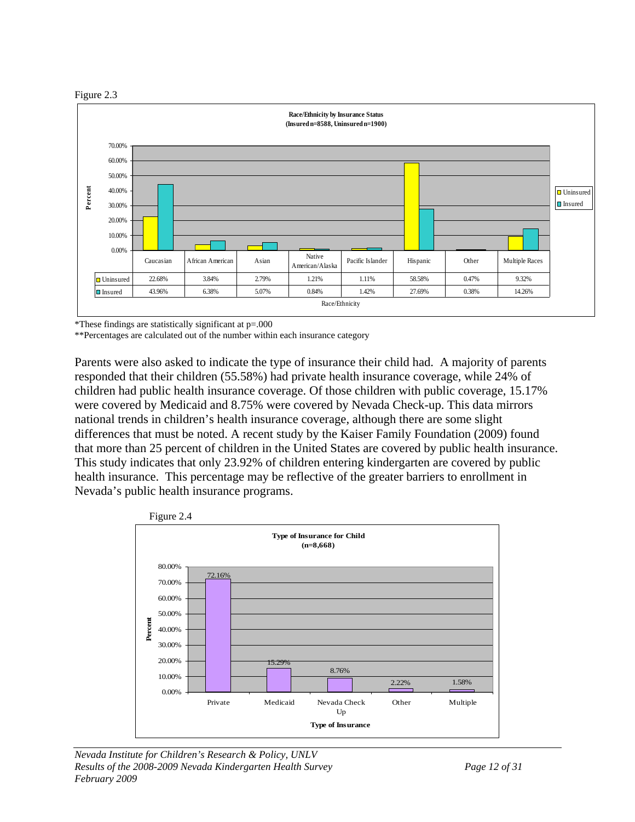



\*These findings are statistically significant at p=.000

\*\*Percentages are calculated out of the number within each insurance category

Parents were also asked to indicate the type of insurance their child had. A majority of parents responded that their children (55.58%) had private health insurance coverage, while 24% of children had public health insurance coverage. Of those children with public coverage, 15.17% were covered by Medicaid and 8.75% were covered by Nevada Check-up. This data mirrors national trends in children's health insurance coverage, although there are some slight differences that must be noted. A recent study by the Kaiser Family Foundation (2009) found that more than 25 percent of children in the United States are covered by public health insurance. This study indicates that only 23.92% of children entering kindergarten are covered by public health insurance. This percentage may be reflective of the greater barriers to enrollment in Nevada's public health insurance programs.

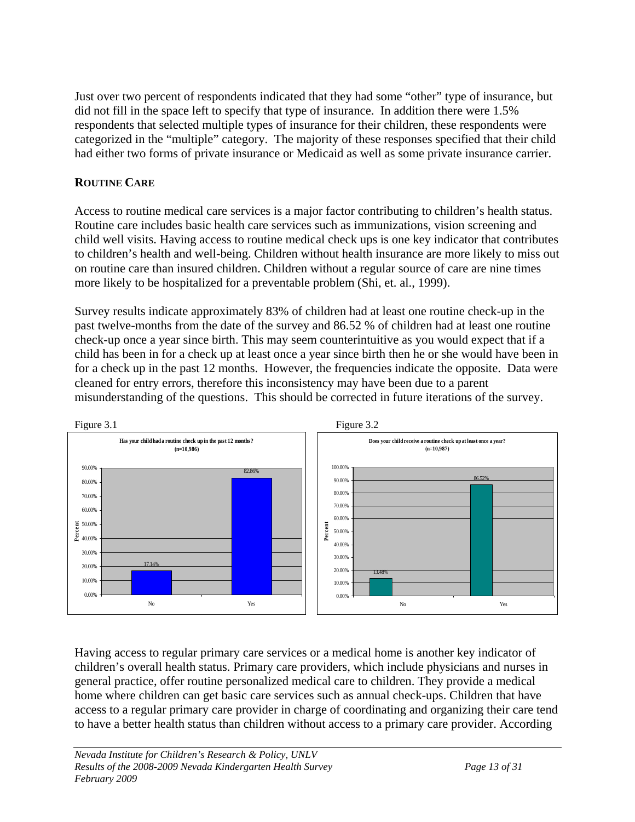Just over two percent of respondents indicated that they had some "other" type of insurance, but did not fill in the space left to specify that type of insurance. In addition there were 1.5% respondents that selected multiple types of insurance for their children, these respondents were categorized in the "multiple" category. The majority of these responses specified that their child had either two forms of private insurance or Medicaid as well as some private insurance carrier.

## **ROUTINE CARE**

Access to routine medical care services is a major factor contributing to children's health status. Routine care includes basic health care services such as immunizations, vision screening and child well visits. Having access to routine medical check ups is one key indicator that contributes to children's health and well-being. Children without health insurance are more likely to miss out on routine care than insured children. Children without a regular source of care are nine times more likely to be hospitalized for a preventable problem (Shi, et. al., 1999).

Survey results indicate approximately 83% of children had at least one routine check-up in the past twelve-months from the date of the survey and 86.52 % of children had at least one routine check-up once a year since birth. This may seem counterintuitive as you would expect that if a child has been in for a check up at least once a year since birth then he or she would have been in for a check up in the past 12 months. However, the frequencies indicate the opposite. Data were cleaned for entry errors, therefore this inconsistency may have been due to a parent misunderstanding of the questions. This should be corrected in future iterations of the survey.



Having access to regular primary care services or a medical home is another key indicator of children's overall health status. Primary care providers, which include physicians and nurses in general practice, offer routine personalized medical care to children. They provide a medical home where children can get basic care services such as annual check-ups. Children that have access to a regular primary care provider in charge of coordinating and organizing their care tend to have a better health status than children without access to a primary care provider. According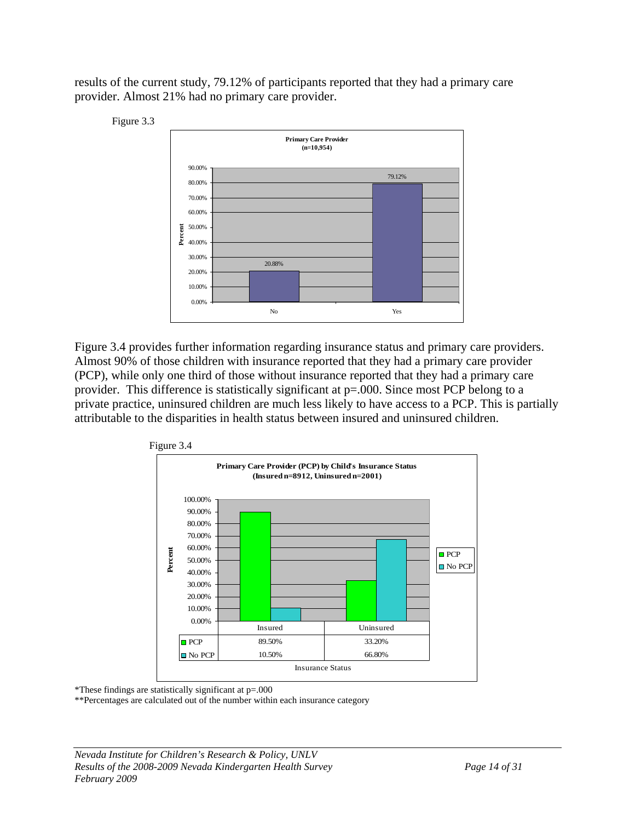results of the current study, 79.12% of participants reported that they had a primary care provider. Almost 21% had no primary care provider.



Figure 3.4 provides further information regarding insurance status and primary care providers. Almost 90% of those children with insurance reported that they had a primary care provider (PCP), while only one third of those without insurance reported that they had a primary care provider. This difference is statistically significant at p=.000. Since most PCP belong to a private practice, uninsured children are much less likely to have access to a PCP. This is partially attributable to the disparities in health status between insured and uninsured children.



\*These findings are statistically significant at p=.000

\*\*Percentages are calculated out of the number within each insurance category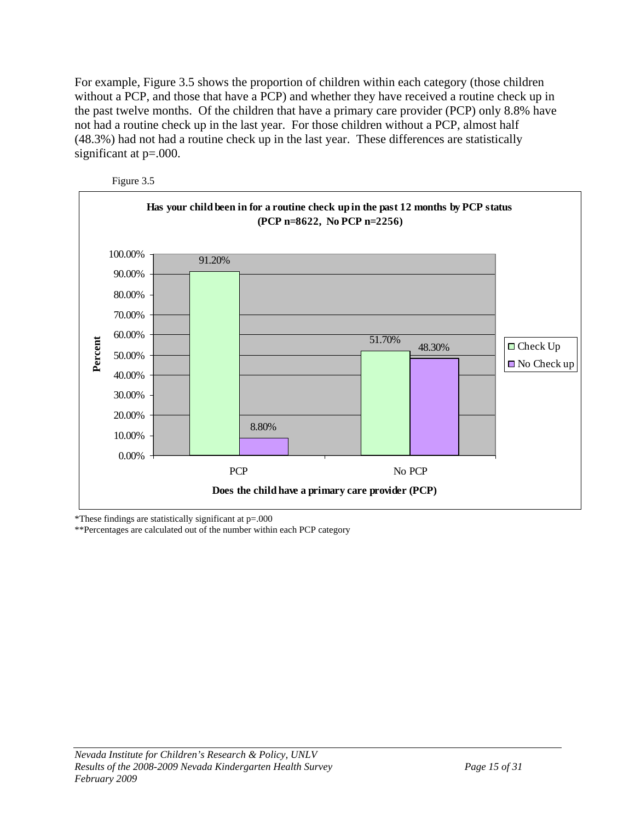For example, Figure 3.5 shows the proportion of children within each category (those children without a PCP, and those that have a PCP) and whether they have received a routine check up in the past twelve months. Of the children that have a primary care provider (PCP) only 8.8% have not had a routine check up in the last year. For those children without a PCP, almost half (48.3%) had not had a routine check up in the last year. These differences are statistically significant at p=.000.



Figure 3.5

\*These findings are statistically significant at p=.000

\*\*Percentages are calculated out of the number within each PCP category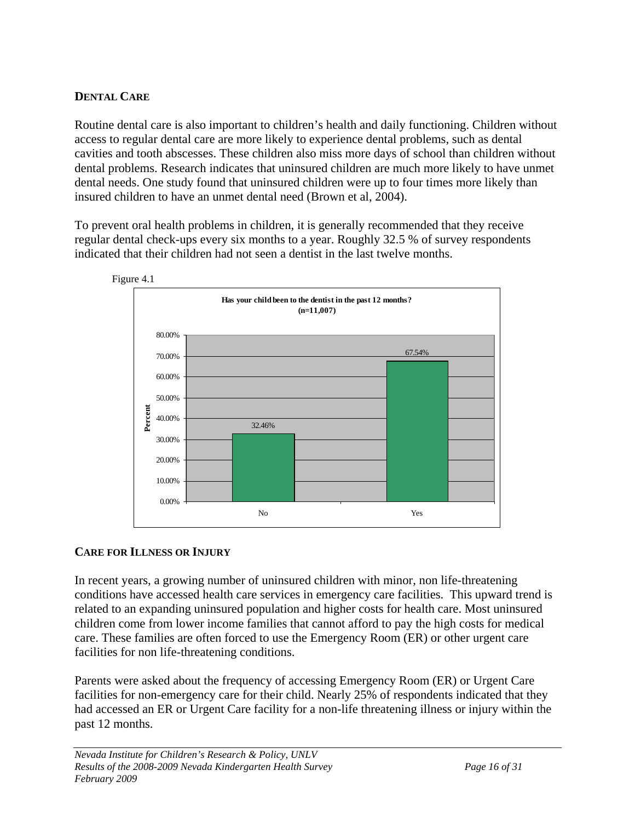## **DENTAL CARE**

Routine dental care is also important to children's health and daily functioning. Children without access to regular dental care are more likely to experience dental problems, such as dental cavities and tooth abscesses. These children also miss more days of school than children without dental problems. Research indicates that uninsured children are much more likely to have unmet dental needs. One study found that uninsured children were up to four times more likely than insured children to have an unmet dental need (Brown et al, 2004).

To prevent oral health problems in children, it is generally recommended that they receive regular dental check-ups every six months to a year. Roughly 32.5 % of survey respondents indicated that their children had not seen a dentist in the last twelve months.



## **CARE FOR ILLNESS OR INJURY**

In recent years, a growing number of uninsured children with minor, non life-threatening conditions have accessed health care services in emergency care facilities. This upward trend is related to an expanding uninsured population and higher costs for health care. Most uninsured children come from lower income families that cannot afford to pay the high costs for medical care. These families are often forced to use the Emergency Room (ER) or other urgent care facilities for non life-threatening conditions.

Parents were asked about the frequency of accessing Emergency Room (ER) or Urgent Care facilities for non-emergency care for their child. Nearly 25% of respondents indicated that they had accessed an ER or Urgent Care facility for a non-life threatening illness or injury within the past 12 months.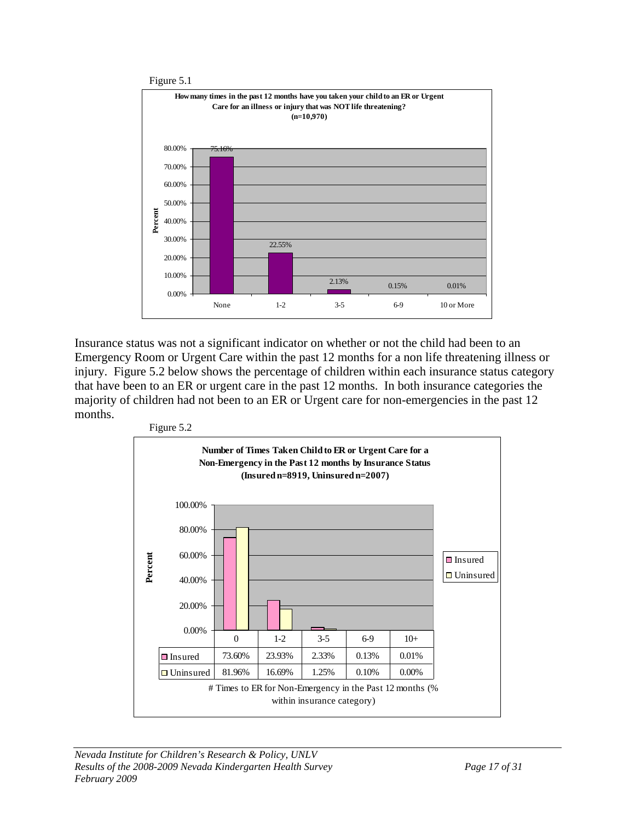

Insurance status was not a significant indicator on whether or not the child had been to an Emergency Room or Urgent Care within the past 12 months for a non life threatening illness or injury. Figure 5.2 below shows the percentage of children within each insurance status category that have been to an ER or urgent care in the past 12 months. In both insurance categories the majority of children had not been to an ER or Urgent care for non-emergencies in the past 12 months.

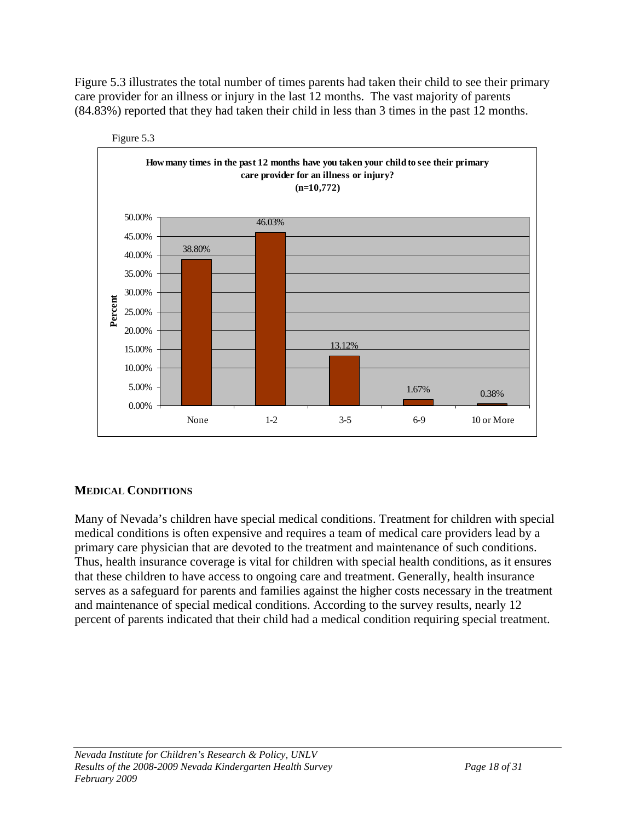Figure 5.3 illustrates the total number of times parents had taken their child to see their primary care provider for an illness or injury in the last 12 months. The vast majority of parents (84.83%) reported that they had taken their child in less than 3 times in the past 12 months.



Figure 5.3

## **MEDICAL CONDITIONS**

Many of Nevada's children have special medical conditions. Treatment for children with special medical conditions is often expensive and requires a team of medical care providers lead by a primary care physician that are devoted to the treatment and maintenance of such conditions. Thus, health insurance coverage is vital for children with special health conditions, as it ensures that these children to have access to ongoing care and treatment. Generally, health insurance serves as a safeguard for parents and families against the higher costs necessary in the treatment and maintenance of special medical conditions. According to the survey results, nearly 12 percent of parents indicated that their child had a medical condition requiring special treatment.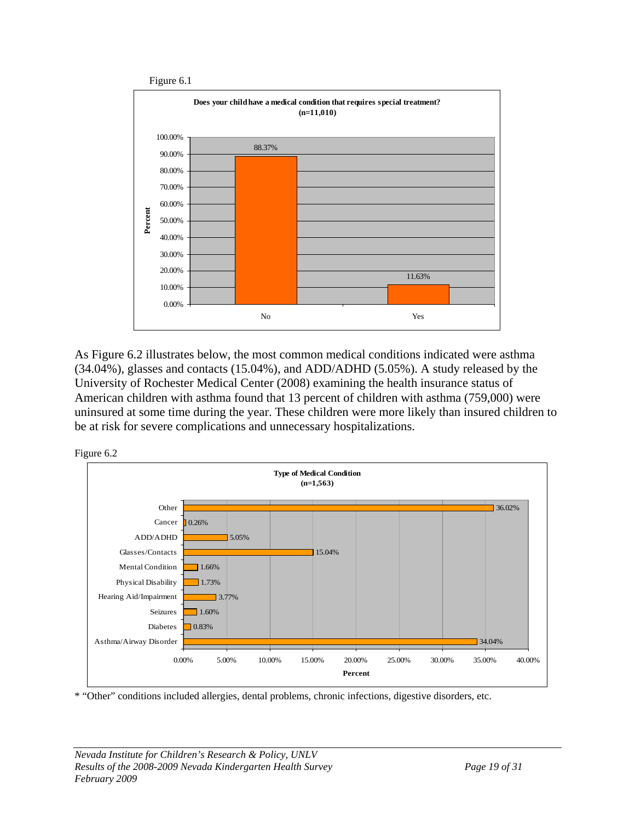

As Figure 6.2 illustrates below, the most common medical conditions indicated were asthma (34.04%), glasses and contacts (15.04%), and ADD/ADHD (5.05%). A study released by the University of Rochester Medical Center (2008) examining the health insurance status of American children with asthma found that 13 percent of children with asthma (759,000) were uninsured at some time during the year. These children were more likely than insured children to be at risk for severe complications and unnecessary hospitalizations.





\* "Other" conditions included allergies, dental problems, chronic infections, digestive disorders, etc.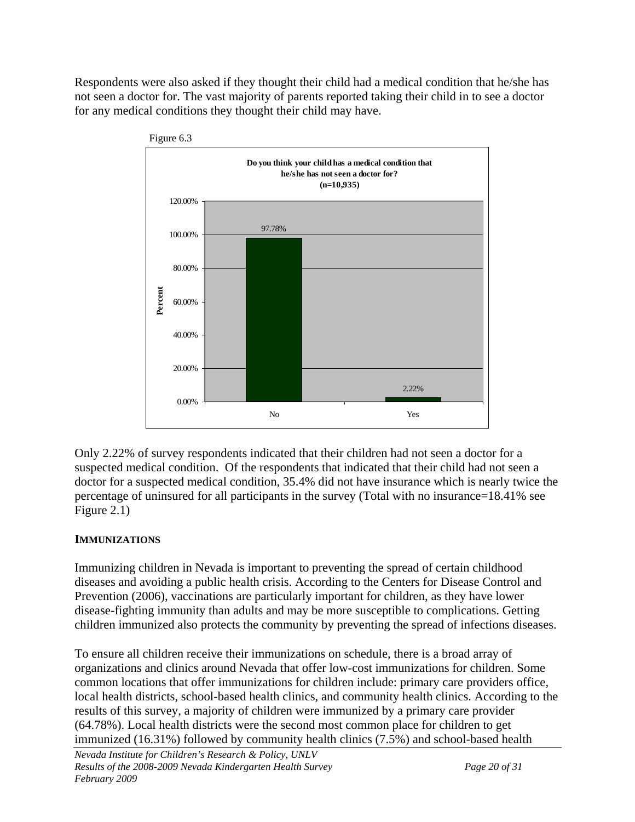Respondents were also asked if they thought their child had a medical condition that he/she has not seen a doctor for. The vast majority of parents reported taking their child in to see a doctor for any medical conditions they thought their child may have.



Only 2.22% of survey respondents indicated that their children had not seen a doctor for a suspected medical condition. Of the respondents that indicated that their child had not seen a doctor for a suspected medical condition, 35.4% did not have insurance which is nearly twice the percentage of uninsured for all participants in the survey (Total with no insurance=18.41% see Figure 2.1)

## **IMMUNIZATIONS**

Immunizing children in Nevada is important to preventing the spread of certain childhood diseases and avoiding a public health crisis. According to the Centers for Disease Control and Prevention (2006), vaccinations are particularly important for children, as they have lower disease-fighting immunity than adults and may be more susceptible to complications. Getting children immunized also protects the community by preventing the spread of infections diseases.

To ensure all children receive their immunizations on schedule, there is a broad array of organizations and clinics around Nevada that offer low-cost immunizations for children. Some common locations that offer immunizations for children include: primary care providers office, local health districts, school-based health clinics, and community health clinics. According to the results of this survey, a majority of children were immunized by a primary care provider (64.78%). Local health districts were the second most common place for children to get immunized (16.31%) followed by community health clinics (7.5%) and school-based health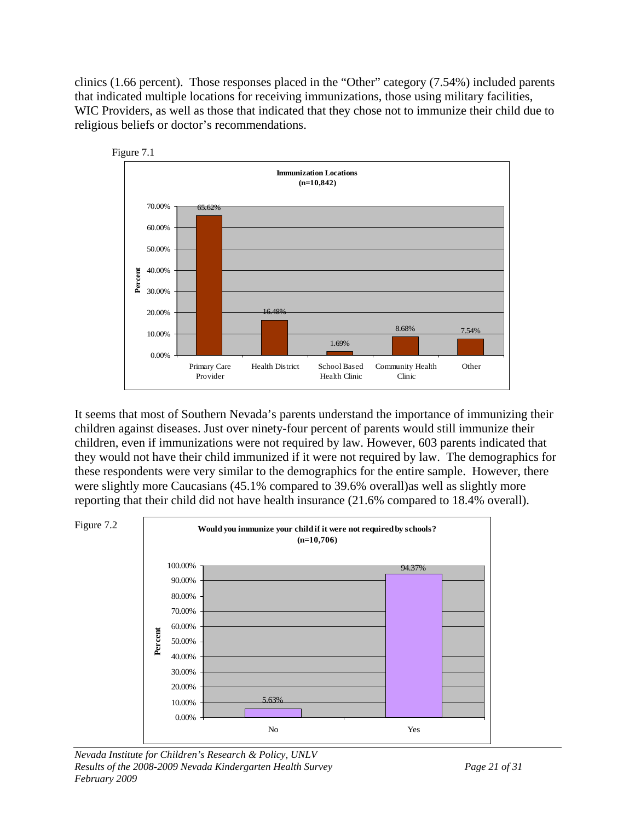clinics (1.66 percent). Those responses placed in the "Other" category (7.54%) included parents that indicated multiple locations for receiving immunizations, those using military facilities, WIC Providers, as well as those that indicated that they chose not to immunize their child due to religious beliefs or doctor's recommendations.



It seems that most of Southern Nevada's parents understand the importance of immunizing their children against diseases. Just over ninety-four percent of parents would still immunize their children, even if immunizations were not required by law. However, 603 parents indicated that they would not have their child immunized if it were not required by law. The demographics for these respondents were very similar to the demographics for the entire sample. However, there were slightly more Caucasians (45.1% compared to 39.6% overall)as well as slightly more reporting that their child did not have health insurance (21.6% compared to 18.4% overall).

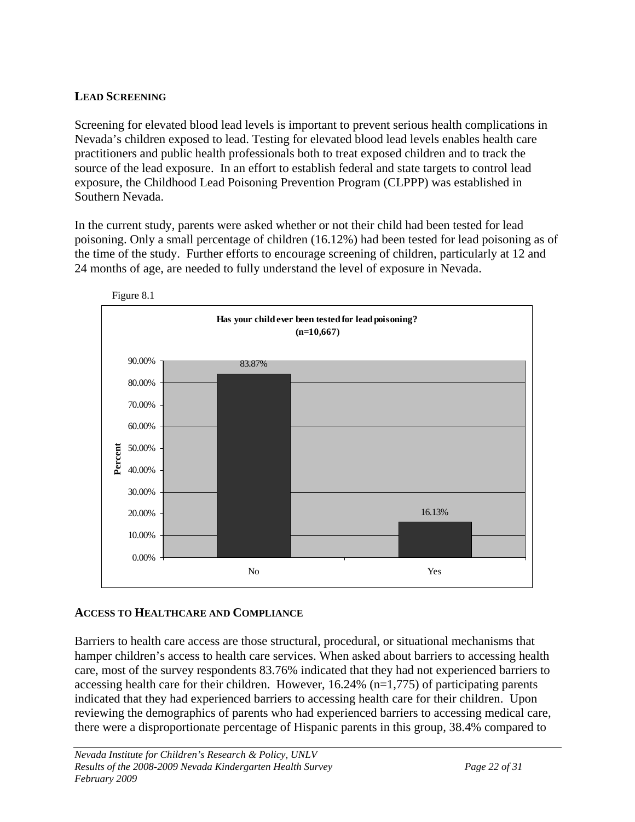## **LEAD SCREENING**

Screening for elevated blood lead levels is important to prevent serious health complications in Nevada's children exposed to lead. Testing for elevated blood lead levels enables health care practitioners and public health professionals both to treat exposed children and to track the source of the lead exposure. In an effort to establish federal and state targets to control lead exposure, the Childhood Lead Poisoning Prevention Program (CLPPP) was established in Southern Nevada.

In the current study, parents were asked whether or not their child had been tested for lead poisoning. Only a small percentage of children (16.12%) had been tested for lead poisoning as of the time of the study. Further efforts to encourage screening of children, particularly at 12 and 24 months of age, are needed to fully understand the level of exposure in Nevada.





## **ACCESS TO HEALTHCARE AND COMPLIANCE**

Barriers to health care access are those structural, procedural, or situational mechanisms that hamper children's access to health care services. When asked about barriers to accessing health care, most of the survey respondents 83.76% indicated that they had not experienced barriers to accessing health care for their children. However, 16.24% (n=1,775) of participating parents indicated that they had experienced barriers to accessing health care for their children. Upon reviewing the demographics of parents who had experienced barriers to accessing medical care, there were a disproportionate percentage of Hispanic parents in this group, 38.4% compared to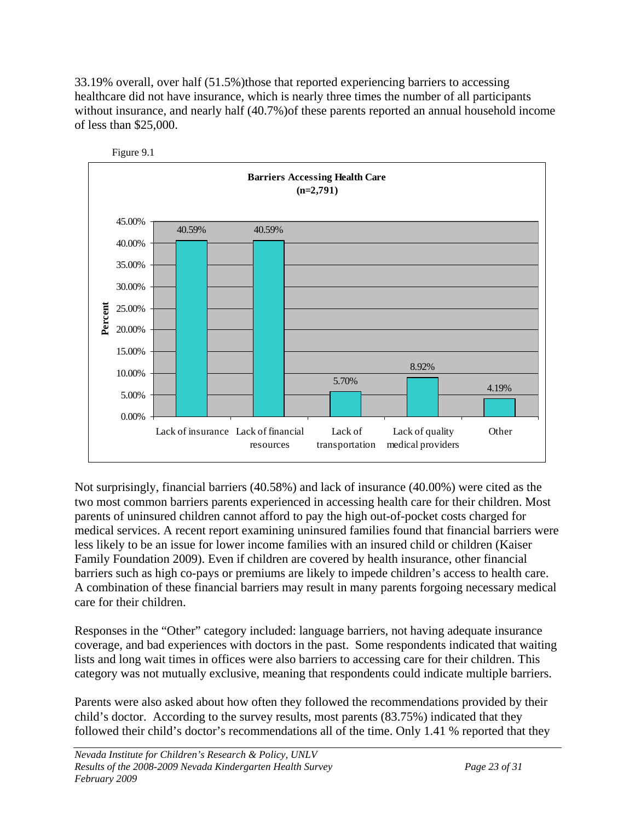33.19% overall, over half (51.5%)those that reported experiencing barriers to accessing healthcare did not have insurance, which is nearly three times the number of all participants without insurance, and nearly half (40.7%)of these parents reported an annual household income of less than \$25,000.





Not surprisingly, financial barriers (40.58%) and lack of insurance (40.00%) were cited as the two most common barriers parents experienced in accessing health care for their children. Most parents of uninsured children cannot afford to pay the high out-of-pocket costs charged for medical services. A recent report examining uninsured families found that financial barriers were less likely to be an issue for lower income families with an insured child or children (Kaiser Family Foundation 2009). Even if children are covered by health insurance, other financial barriers such as high co-pays or premiums are likely to impede children's access to health care. A combination of these financial barriers may result in many parents forgoing necessary medical care for their children.

Responses in the "Other" category included: language barriers, not having adequate insurance coverage, and bad experiences with doctors in the past. Some respondents indicated that waiting lists and long wait times in offices were also barriers to accessing care for their children. This category was not mutually exclusive, meaning that respondents could indicate multiple barriers.

Parents were also asked about how often they followed the recommendations provided by their child's doctor. According to the survey results, most parents (83.75%) indicated that they followed their child's doctor's recommendations all of the time. Only 1.41 % reported that they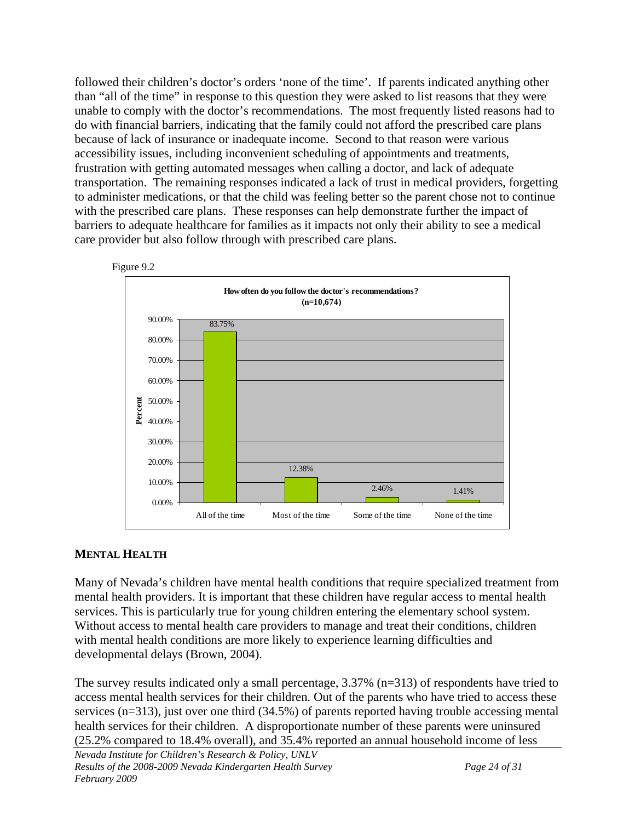followed their children's doctor's orders 'none of the time'. If parents indicated anything other than "all of the time" in response to this question they were asked to list reasons that they were unable to comply with the doctor's recommendations. The most frequently listed reasons had to do with financial barriers, indicating that the family could not afford the prescribed care plans because of lack of insurance or inadequate income. Second to that reason were various accessibility issues, including inconvenient scheduling of appointments and treatments, frustration with getting automated messages when calling a doctor, and lack of adequate transportation. The remaining responses indicated a lack of trust in medical providers, forgetting to administer medications, or that the child was feeling better so the parent chose not to continue with the prescribed care plans. These responses can help demonstrate further the impact of barriers to adequate healthcare for families as it impacts not only their ability to see a medical care provider but also follow through with prescribed care plans.



## **MENTAL HEALTH**

Many of Nevada's children have mental health conditions that require specialized treatment from mental health providers. It is important that these children have regular access to mental health services. This is particularly true for young children entering the elementary school system. Without access to mental health care providers to manage and treat their conditions, children with mental health conditions are more likely to experience learning difficulties and developmental delays (Brown, 2004).

The survey results indicated only a small percentage, 3.37% (n=313) of respondents have tried to access mental health services for their children. Out of the parents who have tried to access these services (n=313), just over one third (34.5%) of parents reported having trouble accessing mental health services for their children. A disproportionate number of these parents were uninsured (25.2% compared to 18.4% overall), and 35.4% reported an annual household income of less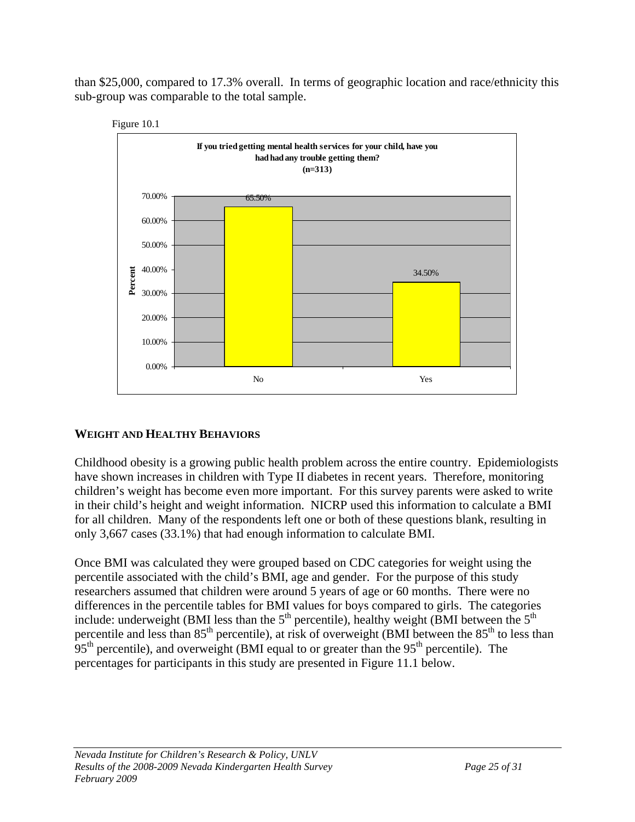than \$25,000, compared to 17.3% overall. In terms of geographic location and race/ethnicity this sub-group was comparable to the total sample.





## **WEIGHT AND HEALTHY BEHAVIORS**

Childhood obesity is a growing public health problem across the entire country. Epidemiologists have shown increases in children with Type II diabetes in recent years. Therefore, monitoring children's weight has become even more important. For this survey parents were asked to write in their child's height and weight information. NICRP used this information to calculate a BMI for all children. Many of the respondents left one or both of these questions blank, resulting in only 3,667 cases (33.1%) that had enough information to calculate BMI.

Once BMI was calculated they were grouped based on CDC categories for weight using the percentile associated with the child's BMI, age and gender. For the purpose of this study researchers assumed that children were around 5 years of age or 60 months. There were no differences in the percentile tables for BMI values for boys compared to girls. The categories include: underweight (BMI less than the  $5<sup>th</sup>$  percentile), healthy weight (BMI between the  $5<sup>th</sup>$ percentile and less than  $85<sup>th</sup>$  percentile), at risk of overweight (BMI between the  $85<sup>th</sup>$  to less than  $95<sup>th</sup>$  percentile), and overweight (BMI equal to or greater than the  $95<sup>th</sup>$  percentile). The percentages for participants in this study are presented in Figure 11.1 below.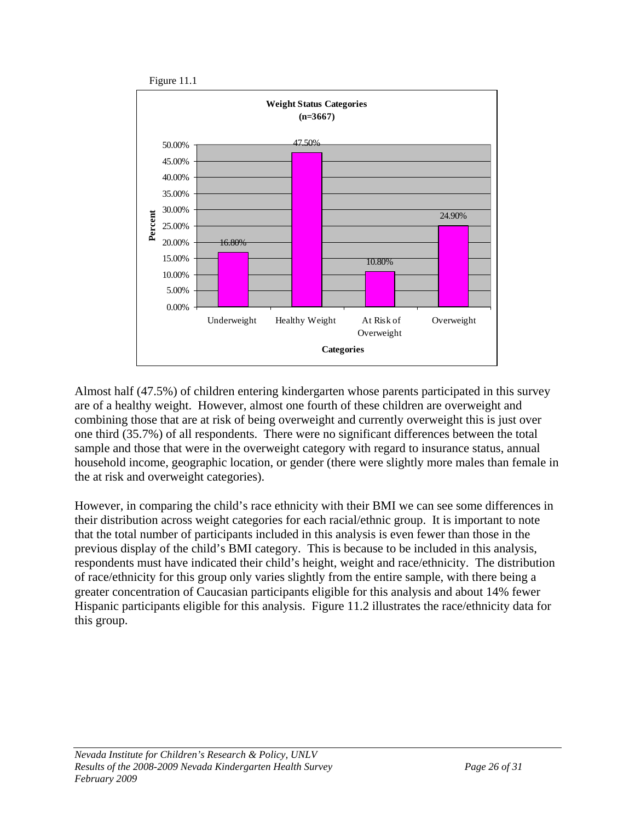

Almost half (47.5%) of children entering kindergarten whose parents participated in this survey are of a healthy weight. However, almost one fourth of these children are overweight and combining those that are at risk of being overweight and currently overweight this is just over one third (35.7%) of all respondents. There were no significant differences between the total sample and those that were in the overweight category with regard to insurance status, annual household income, geographic location, or gender (there were slightly more males than female in the at risk and overweight categories).

However, in comparing the child's race ethnicity with their BMI we can see some differences in their distribution across weight categories for each racial/ethnic group. It is important to note that the total number of participants included in this analysis is even fewer than those in the previous display of the child's BMI category. This is because to be included in this analysis, respondents must have indicated their child's height, weight and race/ethnicity. The distribution of race/ethnicity for this group only varies slightly from the entire sample, with there being a greater concentration of Caucasian participants eligible for this analysis and about 14% fewer Hispanic participants eligible for this analysis. Figure 11.2 illustrates the race/ethnicity data for this group.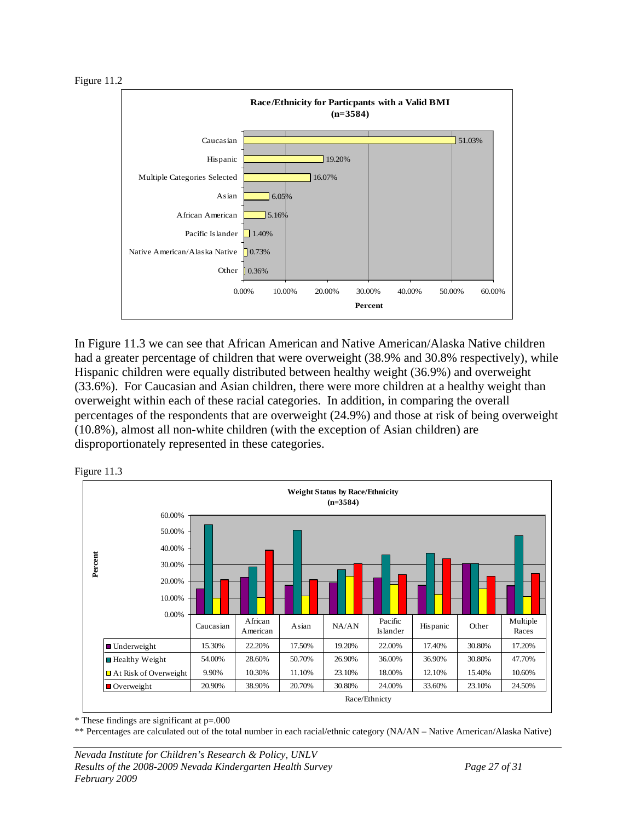Figure 11.2



In Figure 11.3 we can see that African American and Native American/Alaska Native children had a greater percentage of children that were overweight (38.9% and 30.8% respectively), while Hispanic children were equally distributed between healthy weight (36.9%) and overweight (33.6%). For Caucasian and Asian children, there were more children at a healthy weight than overweight within each of these racial categories. In addition, in comparing the overall percentages of the respondents that are overweight (24.9%) and those at risk of being overweight (10.8%), almost all non-white children (with the exception of Asian children) are disproportionately represented in these categories.



Figure 11.3

\* These findings are significant at p=.000

\*\* Percentages are calculated out of the total number in each racial/ethnic category (NA/AN – Native American/Alaska Native)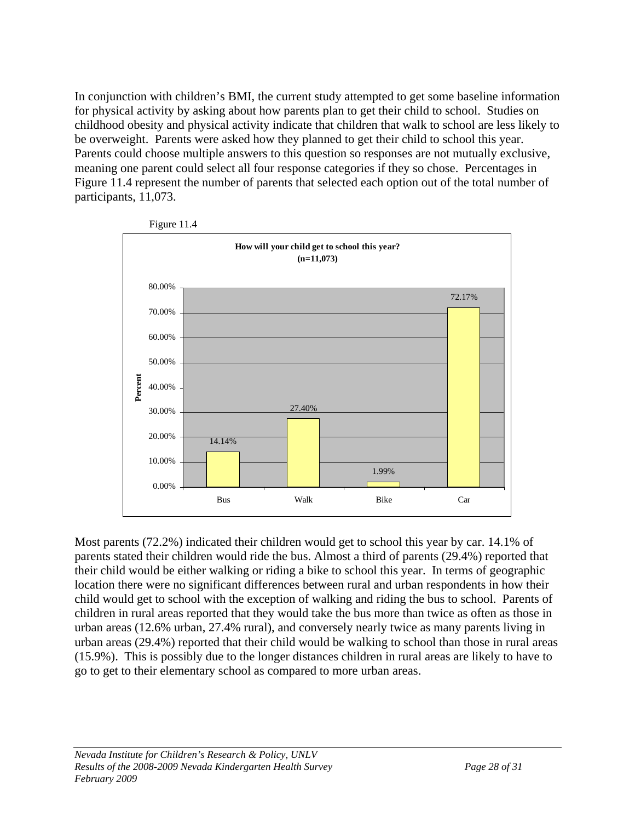In conjunction with children's BMI, the current study attempted to get some baseline information for physical activity by asking about how parents plan to get their child to school. Studies on childhood obesity and physical activity indicate that children that walk to school are less likely to be overweight. Parents were asked how they planned to get their child to school this year. Parents could choose multiple answers to this question so responses are not mutually exclusive, meaning one parent could select all four response categories if they so chose. Percentages in Figure 11.4 represent the number of parents that selected each option out of the total number of participants, 11,073.



Figure 11.4

Most parents (72.2%) indicated their children would get to school this year by car. 14.1% of parents stated their children would ride the bus. Almost a third of parents (29.4%) reported that their child would be either walking or riding a bike to school this year. In terms of geographic location there were no significant differences between rural and urban respondents in how their child would get to school with the exception of walking and riding the bus to school. Parents of children in rural areas reported that they would take the bus more than twice as often as those in urban areas (12.6% urban, 27.4% rural), and conversely nearly twice as many parents living in urban areas (29.4%) reported that their child would be walking to school than those in rural areas (15.9%). This is possibly due to the longer distances children in rural areas are likely to have to go to get to their elementary school as compared to more urban areas.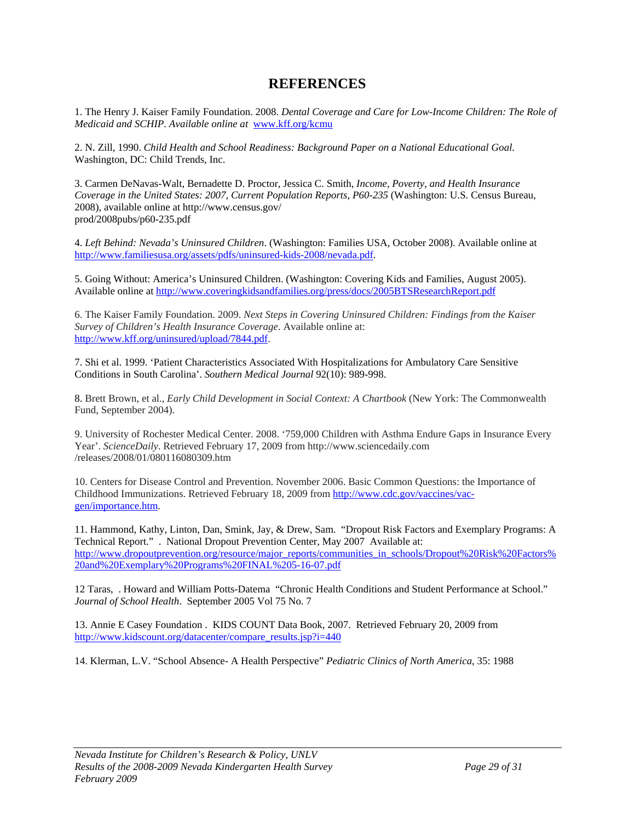## **REFERENCES**

1. The Henry J. Kaiser Family Foundation. 2008. *Dental Coverage and Care for Low-Income Children: The Role of Medicaid and SCHIP. Available online at* [www.kff.org/kcmu](http://www.kff.org/kcmu)

2. N. Zill, 1990. *Child Health and School Readiness: Background Paper on a National Educational Goal*. Washington, DC: Child Trends, Inc.

3. Carmen DeNavas-Walt, Bernadette D. Proctor, Jessica C. Smith, *Income, Poverty, and Health Insurance Coverage in the United States: 2007, Current Population Reports, P60-235* (Washington: U.S. Census Bureau, 2008), available online at http://www.census.gov/ prod/2008pubs/p60-235.pdf

4. *Left Behind: Nevada's Uninsured Children*. (Washington: Families USA, October 2008). Available online at <http://www.familiesusa.org/assets/pdfs/uninsured-kids-2008/nevada.pdf>.

5. Going Without: America's Uninsured Children. (Washington: Covering Kids and Families, August 2005). Available online at <http://www.coveringkidsandfamilies.org/press/docs/2005BTSResearchReport.pdf>

6. The Kaiser Family Foundation. 2009. *Next Steps in Covering Uninsured Children: Findings from the Kaiser Survey of Children's Health Insurance Coverage*. Available online at: <http://www.kff.org/uninsured/upload/7844.pdf>.

7. Shi et al. 1999. 'Patient Characteristics Associated With Hospitalizations for Ambulatory Care Sensitive Conditions in South Carolina'. *Southern Medical Journal* 92(10): 989-998.

8. Brett Brown, et al., *Early Child Development in Social Context: A Chartbook* (New York: The Commonwealth Fund, September 2004).

9. University of Rochester Medical Center. 2008. '759,000 Children with Asthma Endure Gaps in Insurance Every Year'. *ScienceDaily*. Retrieved February 17, 2009 from http://www.sciencedaily.com /releases/2008/01/080116080309.htm

10. Centers for Disease Control and Prevention. November 2006. Basic Common Questions: the Importance of Childhood Immunizations. Retrieved February 18, 2009 from [http://www.cdc.gov/vaccines/vac](http://www.cdc.gov/vaccines/vac-gen/importance.htm)[gen/importance.htm](http://www.cdc.gov/vaccines/vac-gen/importance.htm).

11. Hammond, Kathy, Linton, Dan, Smink, Jay, & Drew, Sam. "Dropout Risk Factors and Exemplary Programs: A Technical Report." . National Dropout Prevention Center, May 2007 Available at: [http://www.dropoutprevention.org/resource/major\\_reports/communities\\_in\\_schools/Dropout%20Risk%20Factors%](http://www.dropoutprevention.org/resource/major_reports/communities_in_schools/Dropout%20Risk%20Factors%20and%20Exemplary%20Programs%20FINAL%205-16-07.pdf) [20and%20Exemplary%20Programs%20FINAL%205-16-07.pdf](http://www.dropoutprevention.org/resource/major_reports/communities_in_schools/Dropout%20Risk%20Factors%20and%20Exemplary%20Programs%20FINAL%205-16-07.pdf)

12 Taras, . Howard and William Potts-Datema "Chronic Health Conditions and Student Performance at School." *Journal of School Health*. September 2005 Vol 75 No. 7

13. Annie E Casey Foundation . KIDS COUNT Data Book, 2007. Retrieved February 20, 2009 from [http://www.kidscount.org/datacenter/compare\\_results.jsp?i=440](http://www.kidscount.org/datacenter/compare_results.jsp?i=440)

14. Klerman, L.V. "School Absence- A Health Perspective" *Pediatric Clinics of North America*, 35: 1988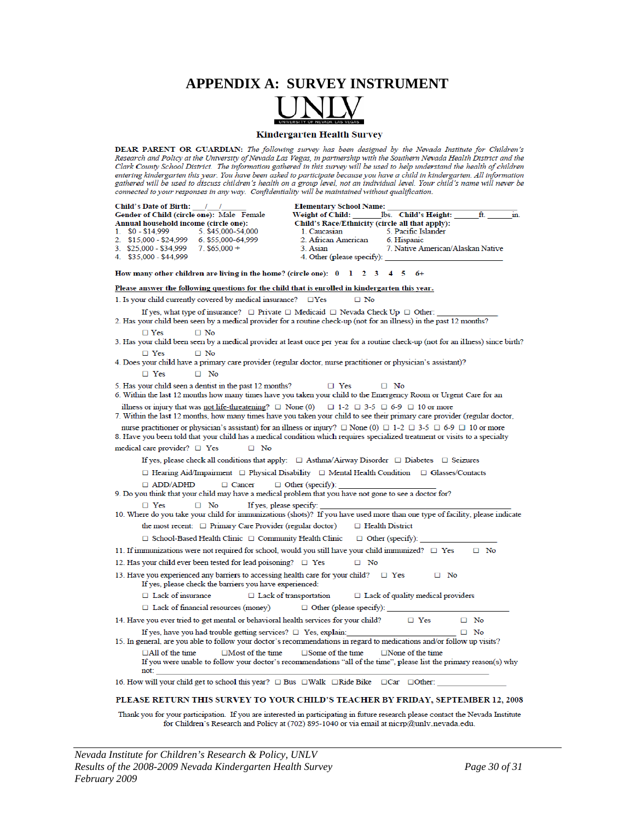## **APPENDIX A: SURVEY INSTRUMENT**



DEAR PARENT OR GUARDIAN: The following survey has been designed by the Nevada Institute for Children's Research and Policy at the University of Nevada Las Vegas, in partnership with the Southern Nevada Health District and the Clark County School District. The information gathered in this survey will be used to help understand the health of children entering kindergarten this year. You have been asked to participate because you have a child in kindergarten. All information gathered will be used to discuss children's health on a group level, not an individual level. Your child's name will never be connected to your responses in any way. Confidentiality will be maintained without qualification.

| Child's Date of Birth:                                                                                                                                  | <b>Elementary School Name:</b>                                                                                                                                                                                                                                           |
|---------------------------------------------------------------------------------------------------------------------------------------------------------|--------------------------------------------------------------------------------------------------------------------------------------------------------------------------------------------------------------------------------------------------------------------------|
| Gender of Child (circle one): Male Female                                                                                                               | ft.<br>Weight of Child:<br>lbs. Child's Height:<br>in.                                                                                                                                                                                                                   |
| Annual household income (circle one):<br>$1.$ \$0 - \$14,999<br>5. \$45,000-54,000                                                                      | Child's Race/Ethnicity (circle all that apply):<br>1. Caucasian<br>5. Pacific Islander                                                                                                                                                                                   |
| 2. \$15,000 - \$24,999<br>6. \$55,000-64,999                                                                                                            | 2. African American<br>6. Hispanic                                                                                                                                                                                                                                       |
| 3. \$25,000 - \$34,999<br>$7.$ \$65,000 +                                                                                                               | 7. Native American/Alaskan Native<br>3. Asian                                                                                                                                                                                                                            |
| 4. \$35,000 - \$44,999                                                                                                                                  | 4. Other (please specify):                                                                                                                                                                                                                                               |
| How many other children are living in the home? (circle one): $0 \quad 1 \quad 2 \quad 3 \quad 4 \quad 5$                                               | $6+$                                                                                                                                                                                                                                                                     |
| Please answer the following questions for the child that is enrolled in kindergarten this year.                                                         |                                                                                                                                                                                                                                                                          |
| 1. Is your child currently covered by medical insurance? $\square$ Yes                                                                                  | $\Box$ No                                                                                                                                                                                                                                                                |
|                                                                                                                                                         | If yes, what type of insurance? $\square$ Private $\square$ Medicaid $\square$ Nevada Check Up $\square$ Other:                                                                                                                                                          |
|                                                                                                                                                         | 2. Has your child been seen by a medical provider for a routine check-up (not for an illness) in the past 12 months?                                                                                                                                                     |
| $\Box$ No<br>$\Box$ Yes                                                                                                                                 | 3. Has your child been seen by a medical provider at least once per year for a routine check-up (not for an illness) since birth?                                                                                                                                        |
|                                                                                                                                                         |                                                                                                                                                                                                                                                                          |
| $\Box$ No<br>$\Box$ Yes<br>4. Does your child have a primary care provider (regular doctor, nurse practitioner or physician's assistant)?               |                                                                                                                                                                                                                                                                          |
| $\Box$ Yes<br>$\Box$ No                                                                                                                                 |                                                                                                                                                                                                                                                                          |
|                                                                                                                                                         |                                                                                                                                                                                                                                                                          |
| 5. Has your child seen a dentist in the past 12 months?                                                                                                 | $\Box$ Yes<br>$\Box$ No<br>6. Within the last 12 months how many times have you taken your child to the Emergency Room or Urgent Care for an                                                                                                                             |
|                                                                                                                                                         |                                                                                                                                                                                                                                                                          |
| illness or injury that was <u>not life-threatening</u> ? $\Box$ None (0) $\Box$ 1-2 $\Box$ 3-5 $\Box$ 6-9 $\Box$ 10 or more                             | 7. Within the last 12 months, how many times have you taken your child to see their primary care provider (regular doctor,                                                                                                                                               |
|                                                                                                                                                         | nurse practitioner or physician's assistant) for an illness or injury? $\Box$ None (0) $\Box$ 1-2 $\Box$ 3-5 $\Box$ 6-9 $\Box$ 10 or more<br>8. Have you been told that your child has a medical condition which requires specialized treatment or visits to a specialty |
| medical care provider? $\Box$ Yes<br>$\Box$ No                                                                                                          |                                                                                                                                                                                                                                                                          |
|                                                                                                                                                         | If yes, please check all conditions that apply: $\Box$ Asthma/Airway Disorder $\Box$ Diabetes $\Box$ Seizures                                                                                                                                                            |
|                                                                                                                                                         | $\Box$ Hearing Aid/Impairment $\Box$ Physical Disability $\Box$ Mental Health Condition $\Box$ Glasses/Contacts                                                                                                                                                          |
|                                                                                                                                                         |                                                                                                                                                                                                                                                                          |
| □ Cancer<br>$\Box$ ADD/ADHD<br>9. Do you think that your child may have a medical problem that you have not gone to see a doctor for?                   | $\Box$ Other (specify):                                                                                                                                                                                                                                                  |
| $\Box$ Yes<br>If yes, please specify:<br>$\Box$ No                                                                                                      | 10. Where do you take your child for immunizations (shots)? If you have used more than one type of facility, please indicate                                                                                                                                             |
| the most recent: $\Box$ Primary Care Provider (regular doctor)                                                                                          | $\Box$ Health District                                                                                                                                                                                                                                                   |
| $\Box$ School-Based Health Clinic $\Box$ Community Health Clinic                                                                                        | $\Box$ Other (specify):                                                                                                                                                                                                                                                  |
|                                                                                                                                                         |                                                                                                                                                                                                                                                                          |
| 11. If immunizations were not required for school, would you still have your child immunized? $\square$ Yes                                             | $\Box$ No                                                                                                                                                                                                                                                                |
| 12. Has your child ever been tested for lead poisoning? $\Box$ Yes                                                                                      | $\square$ No                                                                                                                                                                                                                                                             |
| 13. Have you experienced any barriers to accessing health care for your child? $\square$ Yes<br>If yes, please check the barriers you have experienced: | $\Box$ No                                                                                                                                                                                                                                                                |
| $\Box$ Lack of insurance                                                                                                                                | $\Box$ Lack of transportation<br>$\Box$ Lack of quality medical providers                                                                                                                                                                                                |
| $\Box$ Lack of financial resources (money)                                                                                                              | $\Box$ Other (please specify):                                                                                                                                                                                                                                           |
|                                                                                                                                                         |                                                                                                                                                                                                                                                                          |
| 14. Have you ever tried to get mental or behavioral health services for your child?                                                                     | $\Box$ Yes<br>$\Box$ No                                                                                                                                                                                                                                                  |
| If yes, have you had trouble getting services? $\Box$ Yes, explain:                                                                                     | $\Box$ No<br>15. In general, are you able to follow your doctor's recommendations in regard to medications and/or follow up visits?                                                                                                                                      |
| $\Box$ All of the time<br>$\Box$ Most of the time<br>not:                                                                                               | $\square$ Some of the time<br>$\Box$ None of the time<br>If you were unable to follow your doctor's recommendations "all of the time", please list the primary reason(s) why                                                                                             |
| 16. How will your child get to school this year? $\Box$ Bus $\Box$ Walk $\Box$ Ride Bike $\Box$ Car $\Box$ Other:                                       |                                                                                                                                                                                                                                                                          |
|                                                                                                                                                         |                                                                                                                                                                                                                                                                          |

#### PLEASE RETURN THIS SURVEY TO YOUR CHILD'S TEACHER BY FRIDAY, SEPTEMBER 12, 2008

Thank you for your participation. If you are interested in participating in future research please contact the Nevada Institute for Children's Research and Policy at (702) 895-1040 or via email at nicrp@unlv.nevada.edu.